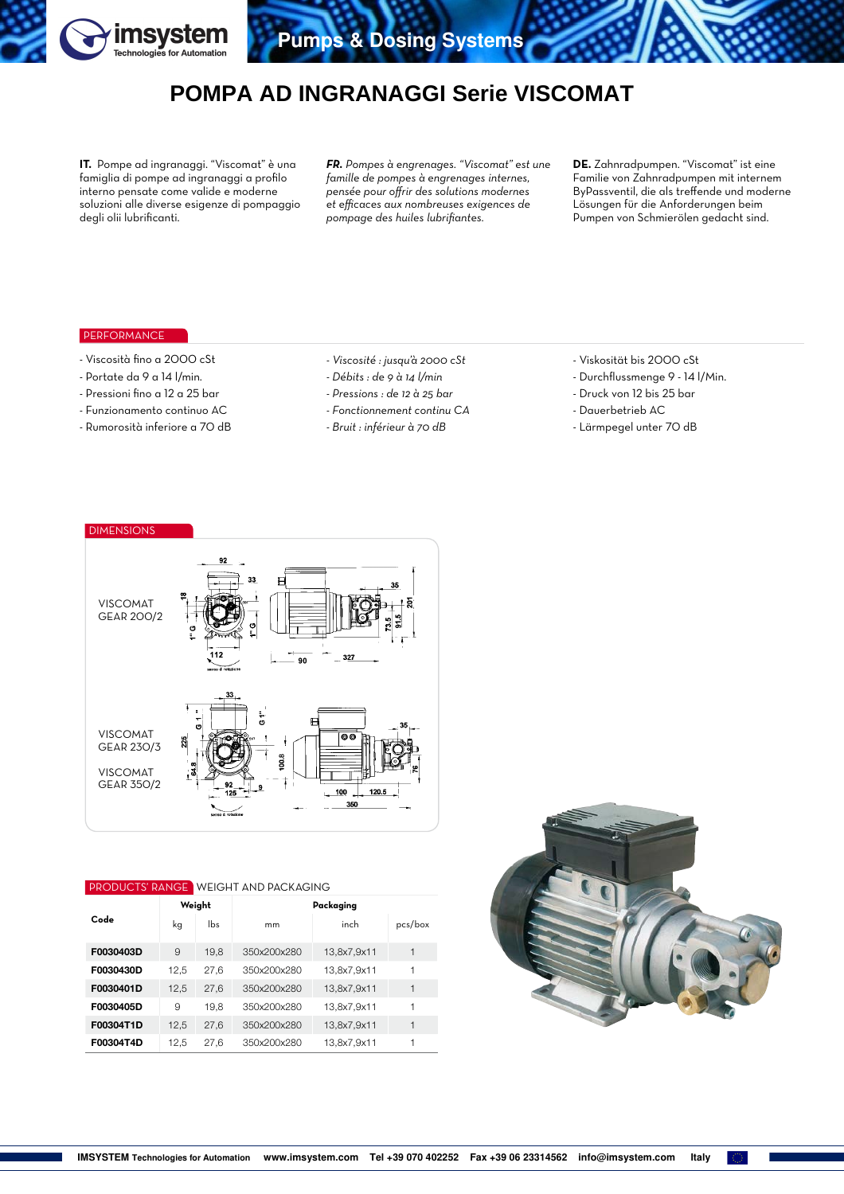

## **POMPA AD INGRANAGGI Serie VISCOMAT**

**IT.** Pompe ad ingranaggi. "Viscomat" è una famiglia di pompe ad ingranaggi a profilo interno pensate come valide e moderne soluzioni alle diverse esigenze di pompaggio degli olii lubrificanti.

*FR. Pompes à engrenages. "Viscomat" est une famille de pompes à engrenages internes, pensée pour offrir des solutions modernes et efficaces aux nombreuses exigences de pompage des huiles lubrifiantes.* 

**DE.** Zahnradpumpen. "Viscomat" ist eine Familie von Zahnradpumpen mit internem ByPassventil, die als treffende und moderne Lösungen für die Anforderungen beim Pumpen von Schmierölen gedacht sind.

## **PERFORMANCE**

- Viscosità fino a 2000 cSt
- Portate da 9 a 14 l/min.
- Pressioni fino a 12 a 25 bar
- Funzionamento continuo AC
- Rumorosità inferiore a 70 dB
- *Viscosité : jusqu'à 2000 cSt*
- *Débits : de 9 à 14 l/min*
- *Pressions : de 12 à 25 bar*
- *Fonctionnement continu CA*
- *Bruit : inférieur à 70 dB*
- Viskosität bis 2000 cSt
- Durchflussmenge 9 14 l/Min.
- Druck von 12 bis 25 bar
- Dauerbetrieb AC
- Lärmpegel unter 70 dB



## PRODUCTS' RANGE WEIGHT AND PACKAGING

|           | Weight |      | Packaging   |             |         |  |  |  |  |  |
|-----------|--------|------|-------------|-------------|---------|--|--|--|--|--|
| Code      | kg     | lbs  | mm          | inch        | pcs/box |  |  |  |  |  |
| F0030403D | 9      | 19,8 | 350x200x280 | 13,8x7,9x11 | 1       |  |  |  |  |  |
| F0030430D | 12.5   | 27.6 | 350x200x280 | 13.8x7.9x11 | 1       |  |  |  |  |  |
| F0030401D | 12.5   | 27.6 | 350x200x280 | 13,8x7,9x11 | 1       |  |  |  |  |  |
| F0030405D | 9      | 19.8 | 350x200x280 | 13,8x7,9x11 | 1       |  |  |  |  |  |
| F00304T1D | 12.5   | 27.6 | 350x200x280 | 13,8x7,9x11 | 1       |  |  |  |  |  |
| F00304T4D | 12,5   | 27,6 | 350x200x280 | 13,8x7,9x11 | 1       |  |  |  |  |  |